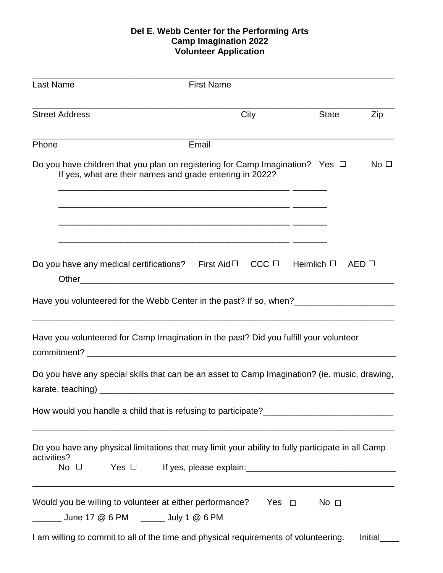## **Del E. Webb Center for the Performing Arts Camp Imagination 2022 Volunteer Application**

| <b>Last Name</b>            | <b>First Name</b>                                                                                                                                                                                                                                      |              |              |
|-----------------------------|--------------------------------------------------------------------------------------------------------------------------------------------------------------------------------------------------------------------------------------------------------|--------------|--------------|
| <b>Street Address</b>       | City                                                                                                                                                                                                                                                   | <b>State</b> | Zip          |
| Phone                       | Email                                                                                                                                                                                                                                                  |              |              |
|                             | Do you have children that you plan on registering for Camp Imagination? Yes $\Box$<br>If yes, what are their names and grade entering in 2022?                                                                                                         |              | No $\square$ |
|                             | <u> 1990 - Johann John Stone, mars et al. 1990 - John Stone, mars et al. 1990 - John Stone, mars et al. 1990 - John Stone</u><br><u> 1990 - Jan James James Barnett, amerikan bestein besteht besteht aus dem Elizabeth aus dem Elizabeth aus dem </u> |              |              |
|                             | $CCC \Box$ Heimlich $\Box$<br>Do you have any medical certifications? First Aid $\Box$                                                                                                                                                                 |              | AED          |
|                             | Have you volunteered for the Webb Center in the past? If so, when?                                                                                                                                                                                     |              |              |
|                             | Have you volunteered for Camp Imagination in the past? Did you fulfill your volunteer                                                                                                                                                                  |              |              |
|                             | Do you have any special skills that can be an asset to Camp Imagination? (ie. music, drawing,                                                                                                                                                          |              |              |
|                             |                                                                                                                                                                                                                                                        |              |              |
| activities?<br>No $\square$ | Do you have any physical limitations that may limit your ability to fully participate in all Camp                                                                                                                                                      |              |              |
|                             | Would you be willing to volunteer at either performance?<br>Yes $\Box$                                                                                                                                                                                 | No $\square$ |              |
|                             | I am willing to commit to all of the time and physical requirements of volunteering.                                                                                                                                                                   |              | Initial      |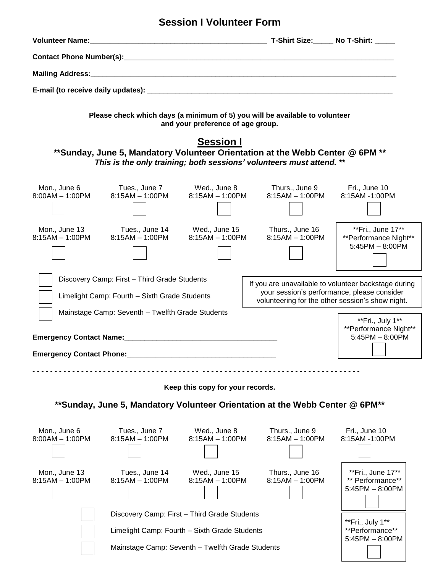## **Session I Volunteer Form**

| Please check which days (a minimum of 5) you will be available to volunteer<br>and your preference of age group.                                                                                                                                                                                             |                                                                                                                                                   |                                    |                                                                            |                                                                 |  |  |  |  |
|--------------------------------------------------------------------------------------------------------------------------------------------------------------------------------------------------------------------------------------------------------------------------------------------------------------|---------------------------------------------------------------------------------------------------------------------------------------------------|------------------------------------|----------------------------------------------------------------------------|-----------------------------------------------------------------|--|--|--|--|
| <b>Session I</b><br>** Sunday, June 5, Mandatory Volunteer Orientation at the Webb Center @ 6PM **<br>This is the only training; both sessions' volunteers must attend. **                                                                                                                                   |                                                                                                                                                   |                                    |                                                                            |                                                                 |  |  |  |  |
| Mon., June 6<br>$8:00AM - 1:00PM$                                                                                                                                                                                                                                                                            | $8:15AM - 1:00PM$                                                                                                                                 | $8:15AM - 1:00PM$                  | Tues., June 7 Wed., June 8 Thurs., June 9 Fri., June 10<br>8:15AM – 1:00PM | 8:15AM -1:00PM                                                  |  |  |  |  |
| Mon., June 13<br>$8:15AM - 1:00PM$                                                                                                                                                                                                                                                                           | Tues., June 14<br>$8:15AM - 1:00PM$                                                                                                               | Wed., June 15<br>$8:15AM - 1:00PM$ | Thurs., June 16<br>$8:15AM - 1:00PM$                                       | **Fri., June 17**<br>**Performance Night**<br>$5:45PM - 8:00PM$ |  |  |  |  |
| Discovery Camp: First - Third Grade Students<br>If you are unavailable to volunteer backstage during<br>your session's performance, please consider<br>Limelight Camp: Fourth - Sixth Grade Students<br>volunteering for the other session's show night.<br>Mainstage Camp: Seventh - Twelfth Grade Students |                                                                                                                                                   |                                    |                                                                            |                                                                 |  |  |  |  |
|                                                                                                                                                                                                                                                                                                              |                                                                                                                                                   |                                    |                                                                            | **Fri., July 1**<br>**Performance Night**<br>$5:45PM - 8:00PM$  |  |  |  |  |
| <b>Emergency Contact Phone:</b>                                                                                                                                                                                                                                                                              |                                                                                                                                                   |                                    |                                                                            |                                                                 |  |  |  |  |
|                                                                                                                                                                                                                                                                                                              |                                                                                                                                                   |                                    |                                                                            |                                                                 |  |  |  |  |
|                                                                                                                                                                                                                                                                                                              |                                                                                                                                                   | Keep this copy for your records.   |                                                                            |                                                                 |  |  |  |  |
| **Sunday, June 5, Mandatory Volunteer Orientation at the Webb Center @ 6PM**                                                                                                                                                                                                                                 |                                                                                                                                                   |                                    |                                                                            |                                                                 |  |  |  |  |
| Mon., June 6<br>$8:00AM - 1:00PM$                                                                                                                                                                                                                                                                            | Tues., June 7<br>$8:15AM - 1:00PM$                                                                                                                | Wed., June 8<br>$8:15AM - 1:00PM$  | Thurs., June 9<br>$8:15AM - 1:00PM$                                        | Fri., June 10<br>8:15AM -1:00PM                                 |  |  |  |  |
| Mon., June 13<br>$8:15AM - 1:00PM$                                                                                                                                                                                                                                                                           | Tues., June 14<br>$8:15AM - 1:00PM$                                                                                                               | Wed., June 15<br>$8:15AM - 1:00PM$ | Thurs., June 16<br>$8:15AM - 1:00PM$                                       | **Fri., June 17**<br>** Performance**<br>$5:45PM - 8:00PM$      |  |  |  |  |
|                                                                                                                                                                                                                                                                                                              | Discovery Camp: First - Third Grade Students<br>Limelight Camp: Fourth - Sixth Grade Students<br>Mainstage Camp: Seventh - Twelfth Grade Students |                                    |                                                                            | **Fri., July 1**<br>**Performance**<br>$5:45PM - 8:00PM$        |  |  |  |  |
|                                                                                                                                                                                                                                                                                                              |                                                                                                                                                   |                                    |                                                                            |                                                                 |  |  |  |  |